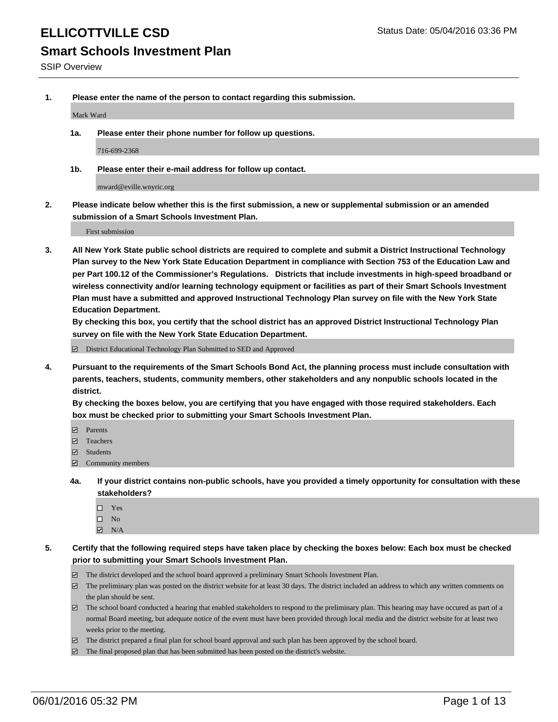# **Smart Schools Investment Plan**

SSIP Overview

**1. Please enter the name of the person to contact regarding this submission.**

Mark Ward

**1a. Please enter their phone number for follow up questions.**

716-699-2368

**1b. Please enter their e-mail address for follow up contact.**

mward@eville.wnyric.org

**2. Please indicate below whether this is the first submission, a new or supplemental submission or an amended submission of a Smart Schools Investment Plan.**

First submission

**3. All New York State public school districts are required to complete and submit a District Instructional Technology Plan survey to the New York State Education Department in compliance with Section 753 of the Education Law and per Part 100.12 of the Commissioner's Regulations. Districts that include investments in high-speed broadband or wireless connectivity and/or learning technology equipment or facilities as part of their Smart Schools Investment Plan must have a submitted and approved Instructional Technology Plan survey on file with the New York State Education Department.** 

**By checking this box, you certify that the school district has an approved District Instructional Technology Plan survey on file with the New York State Education Department.**

■ District Educational Technology Plan Submitted to SED and Approved

**4. Pursuant to the requirements of the Smart Schools Bond Act, the planning process must include consultation with parents, teachers, students, community members, other stakeholders and any nonpublic schools located in the district.** 

**By checking the boxes below, you are certifying that you have engaged with those required stakeholders. Each box must be checked prior to submitting your Smart Schools Investment Plan.**

- **Parents**
- □ Teachers
- Students
- $\boxdot$  Community members
- **4a. If your district contains non-public schools, have you provided a timely opportunity for consultation with these stakeholders?**
	- □ Yes
	- $\square$  No
	- $\boxtimes$  N/A
- **5. Certify that the following required steps have taken place by checking the boxes below: Each box must be checked prior to submitting your Smart Schools Investment Plan.**
	- The district developed and the school board approved a preliminary Smart Schools Investment Plan.
	- The preliminary plan was posted on the district website for at least 30 days. The district included an address to which any written comments on the plan should be sent.
	- $\Box$  The school board conducted a hearing that enabled stakeholders to respond to the preliminary plan. This hearing may have occured as part of a normal Board meeting, but adequate notice of the event must have been provided through local media and the district website for at least two weeks prior to the meeting.
	- The district prepared a final plan for school board approval and such plan has been approved by the school board.
	- The final proposed plan that has been submitted has been posted on the district's website.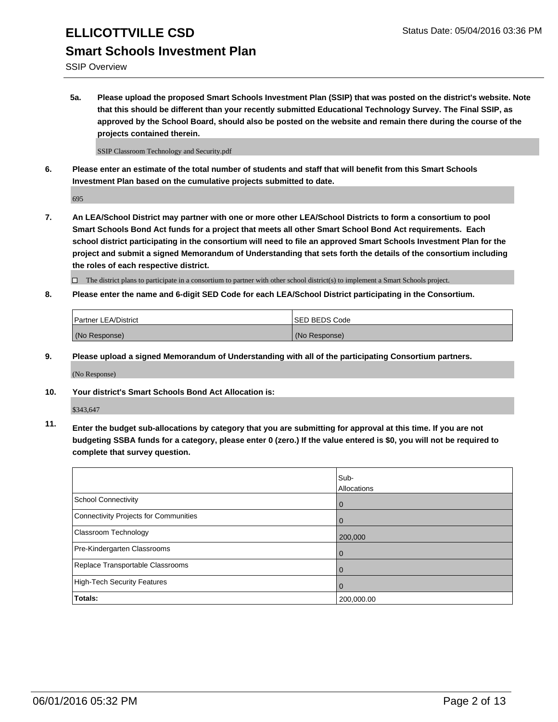SSIP Overview

**5a. Please upload the proposed Smart Schools Investment Plan (SSIP) that was posted on the district's website. Note that this should be different than your recently submitted Educational Technology Survey. The Final SSIP, as approved by the School Board, should also be posted on the website and remain there during the course of the projects contained therein.**

SSIP Classroom Technology and Security.pdf

**6. Please enter an estimate of the total number of students and staff that will benefit from this Smart Schools Investment Plan based on the cumulative projects submitted to date.**

695

**7. An LEA/School District may partner with one or more other LEA/School Districts to form a consortium to pool Smart Schools Bond Act funds for a project that meets all other Smart School Bond Act requirements. Each school district participating in the consortium will need to file an approved Smart Schools Investment Plan for the project and submit a signed Memorandum of Understanding that sets forth the details of the consortium including the roles of each respective district.**

 $\Box$  The district plans to participate in a consortium to partner with other school district(s) to implement a Smart Schools project.

**8. Please enter the name and 6-digit SED Code for each LEA/School District participating in the Consortium.**

| <b>Partner LEA/District</b> | <b>ISED BEDS Code</b> |
|-----------------------------|-----------------------|
| (No Response)               | (No Response)         |

**9. Please upload a signed Memorandum of Understanding with all of the participating Consortium partners.**

(No Response)

**10. Your district's Smart Schools Bond Act Allocation is:**

\$343,647

**11. Enter the budget sub-allocations by category that you are submitting for approval at this time. If you are not budgeting SSBA funds for a category, please enter 0 (zero.) If the value entered is \$0, you will not be required to complete that survey question.**

|                                       | Sub-<br>Allocations |
|---------------------------------------|---------------------|
| <b>School Connectivity</b>            | 0                   |
| Connectivity Projects for Communities |                     |
| Classroom Technology                  | 200,000             |
| Pre-Kindergarten Classrooms           | $\Omega$            |
| Replace Transportable Classrooms      | 0                   |
| High-Tech Security Features           | 0                   |
| <b>Totals:</b>                        | 200,000.00          |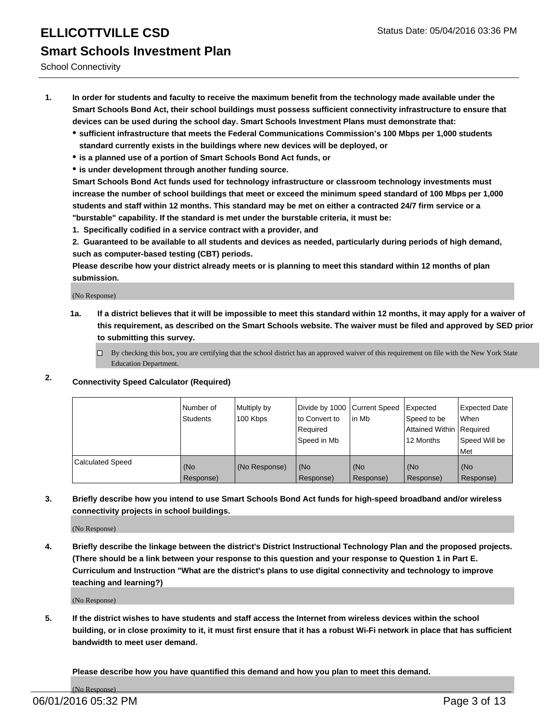School Connectivity

- **1. In order for students and faculty to receive the maximum benefit from the technology made available under the Smart Schools Bond Act, their school buildings must possess sufficient connectivity infrastructure to ensure that devices can be used during the school day. Smart Schools Investment Plans must demonstrate that:**
	- **sufficient infrastructure that meets the Federal Communications Commission's 100 Mbps per 1,000 students standard currently exists in the buildings where new devices will be deployed, or**
	- **is a planned use of a portion of Smart Schools Bond Act funds, or**
	- **is under development through another funding source.**

**Smart Schools Bond Act funds used for technology infrastructure or classroom technology investments must increase the number of school buildings that meet or exceed the minimum speed standard of 100 Mbps per 1,000 students and staff within 12 months. This standard may be met on either a contracted 24/7 firm service or a "burstable" capability. If the standard is met under the burstable criteria, it must be:**

**1. Specifically codified in a service contract with a provider, and**

**2. Guaranteed to be available to all students and devices as needed, particularly during periods of high demand, such as computer-based testing (CBT) periods.**

**Please describe how your district already meets or is planning to meet this standard within 12 months of plan submission.**

(No Response)

- **1a. If a district believes that it will be impossible to meet this standard within 12 months, it may apply for a waiver of this requirement, as described on the Smart Schools website. The waiver must be filed and approved by SED prior to submitting this survey.**
	- □ By checking this box, you are certifying that the school district has an approved waiver of this requirement on file with the New York State Education Department.
- **2. Connectivity Speed Calculator (Required)**

|                         | Number of<br>Students | Multiply by<br>100 Kbps | Divide by 1000 Current Speed<br>Ito Convert to<br>Required<br>l Speed in Mb | lin Mb             | Expected<br>Speed to be<br>Attained Within   Required<br>12 Months | Expected Date<br><b>When</b><br>Speed Will be<br>Met |
|-------------------------|-----------------------|-------------------------|-----------------------------------------------------------------------------|--------------------|--------------------------------------------------------------------|------------------------------------------------------|
| <b>Calculated Speed</b> | (No<br>Response)      | (No Response)           | (No<br>Response)                                                            | l (No<br>Response) | (No<br>Response)                                                   | l (No<br>Response)                                   |

#### **3. Briefly describe how you intend to use Smart Schools Bond Act funds for high-speed broadband and/or wireless connectivity projects in school buildings.**

(No Response)

**4. Briefly describe the linkage between the district's District Instructional Technology Plan and the proposed projects. (There should be a link between your response to this question and your response to Question 1 in Part E. Curriculum and Instruction "What are the district's plans to use digital connectivity and technology to improve teaching and learning?)**

(No Response)

**5. If the district wishes to have students and staff access the Internet from wireless devices within the school building, or in close proximity to it, it must first ensure that it has a robust Wi-Fi network in place that has sufficient bandwidth to meet user demand.**

**Please describe how you have quantified this demand and how you plan to meet this demand.**

(No Response)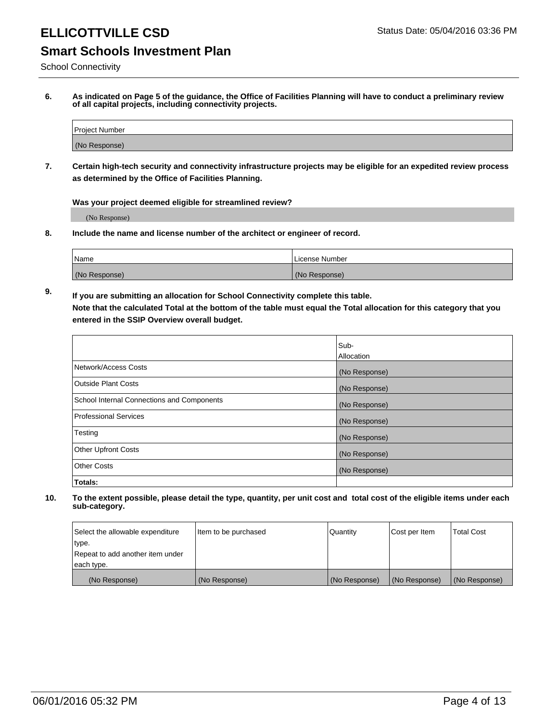School Connectivity

**6. As indicated on Page 5 of the guidance, the Office of Facilities Planning will have to conduct a preliminary review of all capital projects, including connectivity projects.**

| Project Number |  |
|----------------|--|
| (No Response)  |  |

**7. Certain high-tech security and connectivity infrastructure projects may be eligible for an expedited review process as determined by the Office of Facilities Planning.**

**Was your project deemed eligible for streamlined review?**

(No Response)

**8. Include the name and license number of the architect or engineer of record.**

| Name          | l License Number |
|---------------|------------------|
| (No Response) | (No<br>Response) |

**9. If you are submitting an allocation for School Connectivity complete this table. Note that the calculated Total at the bottom of the table must equal the Total allocation for this category that you entered in the SSIP Overview overall budget.** 

|                                            | Sub-              |
|--------------------------------------------|-------------------|
|                                            | <b>Allocation</b> |
| Network/Access Costs                       | (No Response)     |
| <b>Outside Plant Costs</b>                 | (No Response)     |
| School Internal Connections and Components | (No Response)     |
| <b>Professional Services</b>               | (No Response)     |
| Testing                                    | (No Response)     |
| <b>Other Upfront Costs</b>                 | (No Response)     |
| <b>Other Costs</b>                         | (No Response)     |
| Totals:                                    |                   |

| Select the allowable expenditure | Item to be purchased | Quantity      | Cost per Item | <b>Total Cost</b> |
|----------------------------------|----------------------|---------------|---------------|-------------------|
| type.                            |                      |               |               |                   |
| Repeat to add another item under |                      |               |               |                   |
| each type.                       |                      |               |               |                   |
| (No Response)                    | (No Response)        | (No Response) | (No Response) | (No Response)     |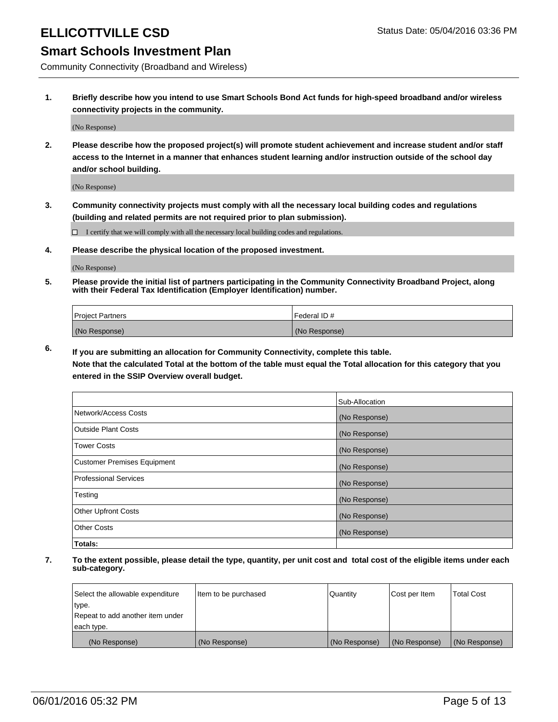### ELLICOTTVILLE CSD **Status Date: 05/04/2016 03:36 PM**

### **Smart Schools Investment Plan**

Community Connectivity (Broadband and Wireless)

**1. Briefly describe how you intend to use Smart Schools Bond Act funds for high-speed broadband and/or wireless connectivity projects in the community.**

(No Response)

**2. Please describe how the proposed project(s) will promote student achievement and increase student and/or staff access to the Internet in a manner that enhances student learning and/or instruction outside of the school day and/or school building.**

(No Response)

**3. Community connectivity projects must comply with all the necessary local building codes and regulations (building and related permits are not required prior to plan submission).**

 $\Box$  I certify that we will comply with all the necessary local building codes and regulations.

**4. Please describe the physical location of the proposed investment.**

(No Response)

**5. Please provide the initial list of partners participating in the Community Connectivity Broadband Project, along with their Federal Tax Identification (Employer Identification) number.**

| <b>Project Partners</b> | <b>IFederal ID#</b> |
|-------------------------|---------------------|
| (No Response)           | (No Response)       |

**6. If you are submitting an allocation for Community Connectivity, complete this table.**

**Note that the calculated Total at the bottom of the table must equal the Total allocation for this category that you entered in the SSIP Overview overall budget.**

|                                    | Sub-Allocation |
|------------------------------------|----------------|
| Network/Access Costs               | (No Response)  |
| Outside Plant Costs                | (No Response)  |
| <b>Tower Costs</b>                 | (No Response)  |
| <b>Customer Premises Equipment</b> | (No Response)  |
| Professional Services              | (No Response)  |
| Testing                            | (No Response)  |
| <b>Other Upfront Costs</b>         | (No Response)  |
| Other Costs                        | (No Response)  |
| Totals:                            |                |

| Select the allowable expenditure | litem to be purchased | Quantity      | Cost per Item | <b>Total Cost</b> |
|----------------------------------|-----------------------|---------------|---------------|-------------------|
| type.                            |                       |               |               |                   |
| Repeat to add another item under |                       |               |               |                   |
| each type.                       |                       |               |               |                   |
| (No Response)                    | (No Response)         | (No Response) | (No Response) | (No Response)     |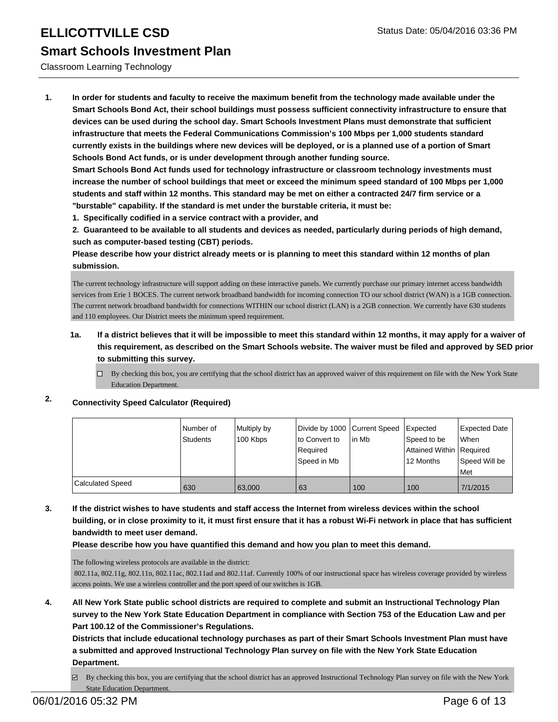#### Classroom Learning Technology

**1. In order for students and faculty to receive the maximum benefit from the technology made available under the Smart Schools Bond Act, their school buildings must possess sufficient connectivity infrastructure to ensure that devices can be used during the school day. Smart Schools Investment Plans must demonstrate that sufficient infrastructure that meets the Federal Communications Commission's 100 Mbps per 1,000 students standard currently exists in the buildings where new devices will be deployed, or is a planned use of a portion of Smart Schools Bond Act funds, or is under development through another funding source.**

**Smart Schools Bond Act funds used for technology infrastructure or classroom technology investments must increase the number of school buildings that meet or exceed the minimum speed standard of 100 Mbps per 1,000 students and staff within 12 months. This standard may be met on either a contracted 24/7 firm service or a "burstable" capability. If the standard is met under the burstable criteria, it must be:**

**1. Specifically codified in a service contract with a provider, and**

**2. Guaranteed to be available to all students and devices as needed, particularly during periods of high demand, such as computer-based testing (CBT) periods.**

**Please describe how your district already meets or is planning to meet this standard within 12 months of plan submission.**

The current technology infrastructure will support adding on these interactive panels. We currently purchase our primary internet access bandwidth services from Erie 1 BOCES. The current network broadband bandwidth for incoming connection TO our school district (WAN) is a 1GB connection. The current network broadband bandwidth for connections WITHIN our school district (LAN) is a 2GB connection. We currently have 630 students and 110 employees. Our District meets the minimum speed requirement.

#### **1a. If a district believes that it will be impossible to meet this standard within 12 months, it may apply for a waiver of this requirement, as described on the Smart Schools website. The waiver must be filed and approved by SED prior to submitting this survey.**

 $\Box$  By checking this box, you are certifying that the school district has an approved waiver of this requirement on file with the New York State Education Department.

### **2. Connectivity Speed Calculator (Required)**

|                  | Number of<br>Students | Multiply by<br>100 Kbps | Divide by 1000 Current Speed Expected<br>to Convert to<br>l Reauired<br>Speed in Mb | l in Mb | Speed to be<br>Attained Within   Required<br>12 Months | <b>Expected Date</b><br>l When<br>Speed Will be<br>l Met |
|------------------|-----------------------|-------------------------|-------------------------------------------------------------------------------------|---------|--------------------------------------------------------|----------------------------------------------------------|
| Calculated Speed | 630                   | 63,000                  | 63                                                                                  | 100     | 100                                                    | 7/1/2015                                                 |

**3. If the district wishes to have students and staff access the Internet from wireless devices within the school building, or in close proximity to it, it must first ensure that it has a robust Wi-Fi network in place that has sufficient bandwidth to meet user demand.**

**Please describe how you have quantified this demand and how you plan to meet this demand.**

The following wireless protocols are available in the district:

 802.11a, 802.11g, 802.11n, 802.11ac, 802.11ad and 802.11af. Currently 100% of our instructional space has wireless coverage provided by wireless access points. We use a wireless controller and the port speed of our switches is 1GB.

**4. All New York State public school districts are required to complete and submit an Instructional Technology Plan survey to the New York State Education Department in compliance with Section 753 of the Education Law and per Part 100.12 of the Commissioner's Regulations.**

**Districts that include educational technology purchases as part of their Smart Schools Investment Plan must have a submitted and approved Instructional Technology Plan survey on file with the New York State Education Department.**

By checking this box, you are certifying that the school district has an approved Instructional Technology Plan survey on file with the New York State Education Department.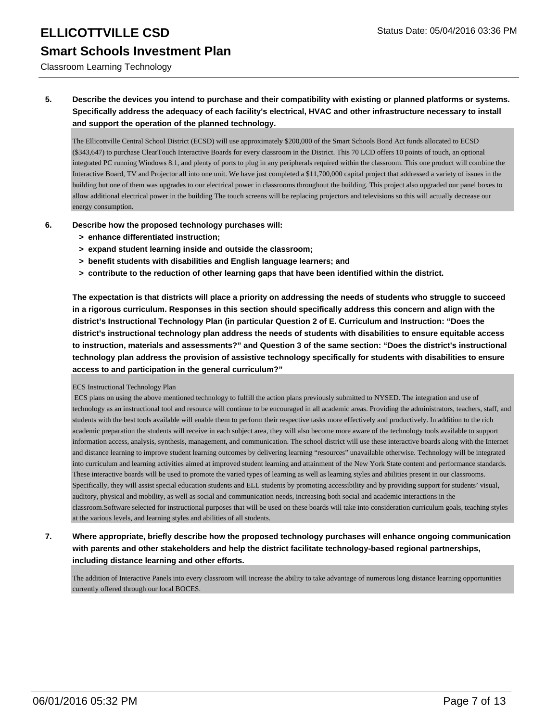Classroom Learning Technology

**5. Describe the devices you intend to purchase and their compatibility with existing or planned platforms or systems. Specifically address the adequacy of each facility's electrical, HVAC and other infrastructure necessary to install and support the operation of the planned technology.**

The Ellicottville Central School District (ECSD) will use approximately \$200,000 of the Smart Schools Bond Act funds allocated to ECSD (\$343,647) to purchase ClearTouch Interactive Boards for every classroom in the District. This 70 LCD offers 10 points of touch, an optional integrated PC running Windows 8.1, and plenty of ports to plug in any peripherals required within the classroom. This one product will combine the Interactive Board, TV and Projector all into one unit. We have just completed a \$11,700,000 capital project that addressed a variety of issues in the building but one of them was upgrades to our electrical power in classrooms throughout the building. This project also upgraded our panel boxes to allow additional electrical power in the building The touch screens will be replacing projectors and televisions so this will actually decrease our energy consumption.

- **6. Describe how the proposed technology purchases will:**
	- **> enhance differentiated instruction;**
	- **> expand student learning inside and outside the classroom;**
	- **> benefit students with disabilities and English language learners; and**
	- **> contribute to the reduction of other learning gaps that have been identified within the district.**

**The expectation is that districts will place a priority on addressing the needs of students who struggle to succeed in a rigorous curriculum. Responses in this section should specifically address this concern and align with the district's Instructional Technology Plan (in particular Question 2 of E. Curriculum and Instruction: "Does the district's instructional technology plan address the needs of students with disabilities to ensure equitable access to instruction, materials and assessments?" and Question 3 of the same section: "Does the district's instructional technology plan address the provision of assistive technology specifically for students with disabilities to ensure access to and participation in the general curriculum?"**

#### ECS Instructional Technology Plan

 ECS plans on using the above mentioned technology to fulfill the action plans previously submitted to NYSED. The integration and use of technology as an instructional tool and resource will continue to be encouraged in all academic areas. Providing the administrators, teachers, staff, and students with the best tools available will enable them to perform their respective tasks more effectively and productively. In addition to the rich academic preparation the students will receive in each subject area, they will also become more aware of the technology tools available to support information access, analysis, synthesis, management, and communication. The school district will use these interactive boards along with the Internet and distance learning to improve student learning outcomes by delivering learning "resources" unavailable otherwise. Technology will be integrated into curriculum and learning activities aimed at improved student learning and attainment of the New York State content and performance standards. These interactive boards will be used to promote the varied types of learning as well as learning styles and abilities present in our classrooms. Specifically, they will assist special education students and ELL students by promoting accessibility and by providing support for students' visual, auditory, physical and mobility, as well as social and communication needs, increasing both social and academic interactions in the classroom.Software selected for instructional purposes that will be used on these boards will take into consideration curriculum goals, teaching styles at the various levels, and learning styles and abilities of all students.

**7. Where appropriate, briefly describe how the proposed technology purchases will enhance ongoing communication with parents and other stakeholders and help the district facilitate technology-based regional partnerships, including distance learning and other efforts.**

The addition of Interactive Panels into every classroom will increase the ability to take advantage of numerous long distance learning opportunities currently offered through our local BOCES.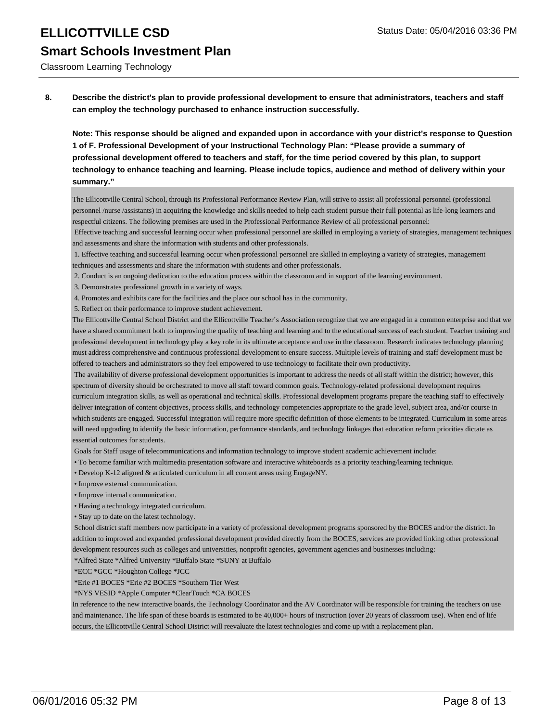Classroom Learning Technology

**8. Describe the district's plan to provide professional development to ensure that administrators, teachers and staff can employ the technology purchased to enhance instruction successfully.**

**Note: This response should be aligned and expanded upon in accordance with your district's response to Question 1 of F. Professional Development of your Instructional Technology Plan: "Please provide a summary of professional development offered to teachers and staff, for the time period covered by this plan, to support technology to enhance teaching and learning. Please include topics, audience and method of delivery within your summary."**

The Ellicottville Central School, through its Professional Performance Review Plan, will strive to assist all professional personnel (professional personnel /nurse /assistants) in acquiring the knowledge and skills needed to help each student pursue their full potential as life-long learners and respectful citizens. The following premises are used in the Professional Performance Review of all professional personnel:

 Effective teaching and successful learning occur when professional personnel are skilled in employing a variety of strategies, management techniques and assessments and share the information with students and other professionals.

 1. Effective teaching and successful learning occur when professional personnel are skilled in employing a variety of strategies, management techniques and assessments and share the information with students and other professionals.

2. Conduct is an ongoing dedication to the education process within the classroom and in support of the learning environment.

3. Demonstrates professional growth in a variety of ways.

4. Promotes and exhibits care for the facilities and the place our school has in the community.

5. Reflect on their performance to improve student achievement.

The Ellicottville Central School District and the Ellicottville Teacher's Association recognize that we are engaged in a common enterprise and that we have a shared commitment both to improving the quality of teaching and learning and to the educational success of each student. Teacher training and professional development in technology play a key role in its ultimate acceptance and use in the classroom. Research indicates technology planning must address comprehensive and continuous professional development to ensure success. Multiple levels of training and staff development must be offered to teachers and administrators so they feel empowered to use technology to facilitate their own productivity.

 The availability of diverse professional development opportunities is important to address the needs of all staff within the district; however, this spectrum of diversity should be orchestrated to move all staff toward common goals. Technology-related professional development requires curriculum integration skills, as well as operational and technical skills. Professional development programs prepare the teaching staff to effectively deliver integration of content objectives, process skills, and technology competencies appropriate to the grade level, subject area, and/or course in which students are engaged. Successful integration will require more specific definition of those elements to be integrated. Curriculum in some areas will need upgrading to identify the basic information, performance standards, and technology linkages that education reform priorities dictate as essential outcomes for students.

Goals for Staff usage of telecommunications and information technology to improve student academic achievement include:

- To become familiar with multimedia presentation software and interactive whiteboards as a priority teaching/learning technique.
- Develop K-12 aligned & articulated curriculum in all content areas using EngageNY.
- Improve external communication.
- Improve internal communication.

• Having a technology integrated curriculum.

• Stay up to date on the latest technology.

 School district staff members now participate in a variety of professional development programs sponsored by the BOCES and/or the district. In addition to improved and expanded professional development provided directly from the BOCES, services are provided linking other professional development resources such as colleges and universities, nonprofit agencies, government agencies and businesses including:

\*Alfred State \*Alfred University \*Buffalo State \*SUNY at Buffalo

\*ECC \*GCC \*Houghton College \*JCC

\*Erie #1 BOCES \*Erie #2 BOCES \*Southern Tier West

\*NYS VESID \*Apple Computer \*ClearTouch \*CA BOCES

In reference to the new interactive boards, the Technology Coordinator and the AV Coordinator will be responsible for training the teachers on use and maintenance. The life span of these boards is estimated to be 40,000+ hours of instruction (over 20 years of classroom use). When end of life occurs, the Ellicottville Central School District will reevaluate the latest technologies and come up with a replacement plan.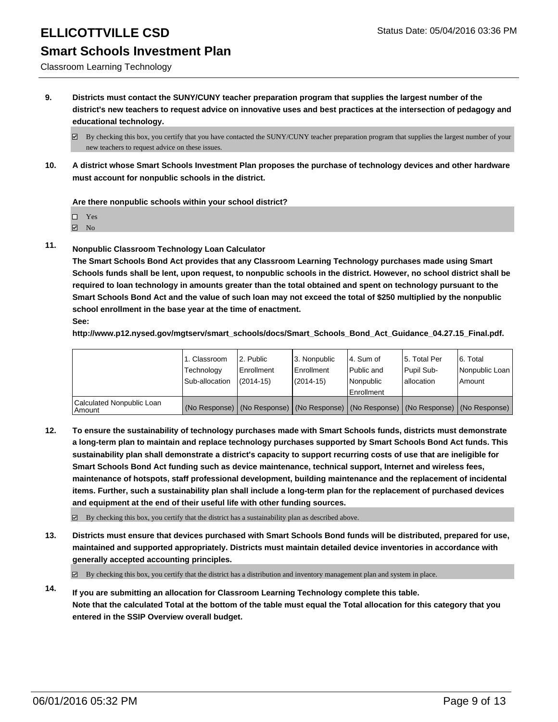Classroom Learning Technology

**9. Districts must contact the SUNY/CUNY teacher preparation program that supplies the largest number of the district's new teachers to request advice on innovative uses and best practices at the intersection of pedagogy and educational technology.**

**10. A district whose Smart Schools Investment Plan proposes the purchase of technology devices and other hardware must account for nonpublic schools in the district.**

**Are there nonpublic schools within your school district?**

Yes

**☑** No

**11. Nonpublic Classroom Technology Loan Calculator**

**The Smart Schools Bond Act provides that any Classroom Learning Technology purchases made using Smart Schools funds shall be lent, upon request, to nonpublic schools in the district. However, no school district shall be required to loan technology in amounts greater than the total obtained and spent on technology pursuant to the Smart Schools Bond Act and the value of such loan may not exceed the total of \$250 multiplied by the nonpublic school enrollment in the base year at the time of enactment. See:**

**http://www.p12.nysed.gov/mgtserv/smart\_schools/docs/Smart\_Schools\_Bond\_Act\_Guidance\_04.27.15\_Final.pdf.**

|                                     | 1. Classroom<br>Technology | 2. Public<br>Enrollment | 3. Nonpublic<br><b>Enrollment</b> | l 4. Sum of<br>l Public and                                                                   | 15. Total Per<br>Pupil Sub- | 6. Total<br>Nonpublic Loan |
|-------------------------------------|----------------------------|-------------------------|-----------------------------------|-----------------------------------------------------------------------------------------------|-----------------------------|----------------------------|
|                                     | Sub-allocation             | $(2014 - 15)$           | (2014-15)                         | Nonpublic<br>Enrollment                                                                       | lallocation                 | Amount                     |
| Calculated Nonpublic Loan<br>Amount |                            |                         |                                   | (No Response)   (No Response)   (No Response)   (No Response)   (No Response)   (No Response) |                             |                            |

**12. To ensure the sustainability of technology purchases made with Smart Schools funds, districts must demonstrate a long-term plan to maintain and replace technology purchases supported by Smart Schools Bond Act funds. This sustainability plan shall demonstrate a district's capacity to support recurring costs of use that are ineligible for Smart Schools Bond Act funding such as device maintenance, technical support, Internet and wireless fees, maintenance of hotspots, staff professional development, building maintenance and the replacement of incidental items. Further, such a sustainability plan shall include a long-term plan for the replacement of purchased devices and equipment at the end of their useful life with other funding sources.**

 $\boxtimes$  By checking this box, you certify that the district has a sustainability plan as described above.

**13. Districts must ensure that devices purchased with Smart Schools Bond funds will be distributed, prepared for use, maintained and supported appropriately. Districts must maintain detailed device inventories in accordance with generally accepted accounting principles.**

 $\boxtimes$  By checking this box, you certify that the district has a distribution and inventory management plan and system in place.

**14. If you are submitting an allocation for Classroom Learning Technology complete this table. Note that the calculated Total at the bottom of the table must equal the Total allocation for this category that you entered in the SSIP Overview overall budget.**

 $\boxtimes$  By checking this box, you certify that you have contacted the SUNY/CUNY teacher preparation program that supplies the largest number of your new teachers to request advice on these issues.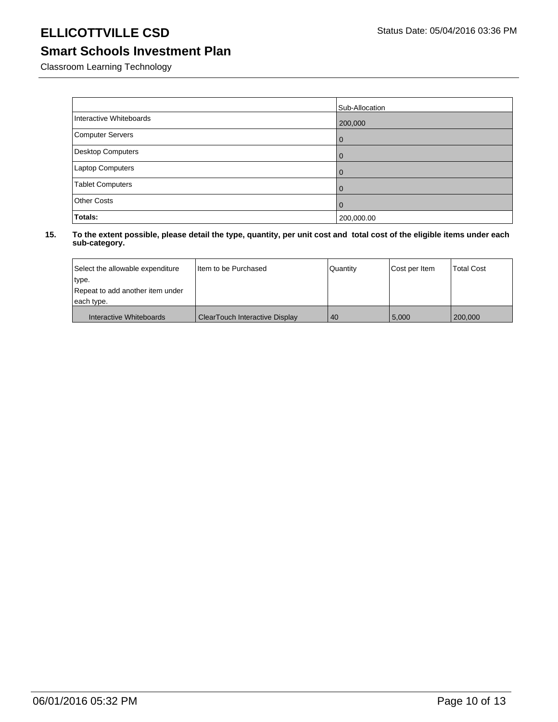### ELLICOTTVILLE CSD Status Date: 05/04/2016 03:36 PM

### **Smart Schools Investment Plan**

Classroom Learning Technology

|                          | Sub-Allocation |
|--------------------------|----------------|
| Interactive Whiteboards  | 200,000        |
| Computer Servers         | l 0            |
| <b>Desktop Computers</b> | l 0            |
| Laptop Computers         | l 0            |
| <b>Tablet Computers</b>  | $\Omega$       |
| <b>Other Costs</b>       | l 0            |
| Totals:                  | 200,000.00     |

| Select the allowable expenditure | I tem to be Purchased          | Quantity | Cost per Item | <b>Total Cost</b> |
|----------------------------------|--------------------------------|----------|---------------|-------------------|
| type.                            |                                |          |               |                   |
| Repeat to add another item under |                                |          |               |                   |
| each type.                       |                                |          |               |                   |
| Interactive Whiteboards          | ClearTouch Interactive Display | 40       | 5,000         | 200,000           |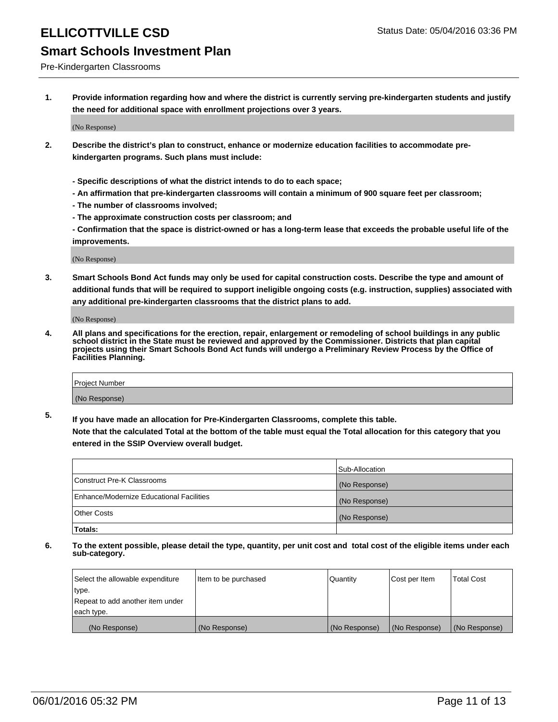#### Pre-Kindergarten Classrooms

**1. Provide information regarding how and where the district is currently serving pre-kindergarten students and justify the need for additional space with enrollment projections over 3 years.**

(No Response)

- **2. Describe the district's plan to construct, enhance or modernize education facilities to accommodate prekindergarten programs. Such plans must include:**
	- **Specific descriptions of what the district intends to do to each space;**
	- **An affirmation that pre-kindergarten classrooms will contain a minimum of 900 square feet per classroom;**
	- **The number of classrooms involved;**
	- **The approximate construction costs per classroom; and**
	- **Confirmation that the space is district-owned or has a long-term lease that exceeds the probable useful life of the improvements.**

(No Response)

**3. Smart Schools Bond Act funds may only be used for capital construction costs. Describe the type and amount of additional funds that will be required to support ineligible ongoing costs (e.g. instruction, supplies) associated with any additional pre-kindergarten classrooms that the district plans to add.**

(No Response)

**4. All plans and specifications for the erection, repair, enlargement or remodeling of school buildings in any public school district in the State must be reviewed and approved by the Commissioner. Districts that plan capital projects using their Smart Schools Bond Act funds will undergo a Preliminary Review Process by the Office of Facilities Planning.**

| Project Number |  |
|----------------|--|
| (No Response)  |  |

**5. If you have made an allocation for Pre-Kindergarten Classrooms, complete this table. Note that the calculated Total at the bottom of the table must equal the Total allocation for this category that you**

**entered in the SSIP Overview overall budget.**

|                                          | Sub-Allocation |
|------------------------------------------|----------------|
| Construct Pre-K Classrooms               | (No Response)  |
| Enhance/Modernize Educational Facilities | (No Response)  |
| Other Costs                              | (No Response)  |
| Totals:                                  |                |

| Select the allowable expenditure | Item to be purchased | Quantity      | Cost per Item | <b>Total Cost</b> |
|----------------------------------|----------------------|---------------|---------------|-------------------|
| type.                            |                      |               |               |                   |
| Repeat to add another item under |                      |               |               |                   |
| each type.                       |                      |               |               |                   |
| (No Response)                    | (No Response)        | (No Response) | (No Response) | (No Response)     |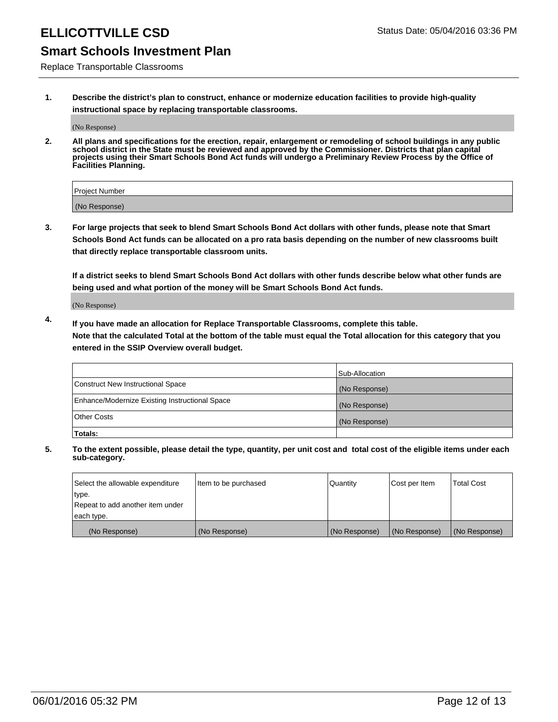# ELLICOTTVILLE CSD Status Date: 05/04/2016 03:36 PM

### **Smart Schools Investment Plan**

Replace Transportable Classrooms

**1. Describe the district's plan to construct, enhance or modernize education facilities to provide high-quality instructional space by replacing transportable classrooms.**

(No Response)

**2. All plans and specifications for the erection, repair, enlargement or remodeling of school buildings in any public school district in the State must be reviewed and approved by the Commissioner. Districts that plan capital projects using their Smart Schools Bond Act funds will undergo a Preliminary Review Process by the Office of Facilities Planning.**

| Project Number |  |
|----------------|--|
| (No Response)  |  |

**3. For large projects that seek to blend Smart Schools Bond Act dollars with other funds, please note that Smart Schools Bond Act funds can be allocated on a pro rata basis depending on the number of new classrooms built that directly replace transportable classroom units.**

**If a district seeks to blend Smart Schools Bond Act dollars with other funds describe below what other funds are being used and what portion of the money will be Smart Schools Bond Act funds.**

(No Response)

**4. If you have made an allocation for Replace Transportable Classrooms, complete this table. Note that the calculated Total at the bottom of the table must equal the Total allocation for this category that you entered in the SSIP Overview overall budget.**

|                                                | Sub-Allocation |
|------------------------------------------------|----------------|
| Construct New Instructional Space              | (No Response)  |
| Enhance/Modernize Existing Instructional Space | (No Response)  |
| <b>Other Costs</b>                             | (No Response)  |
| Totals:                                        |                |

| Select the allowable expenditure | Item to be purchased | Quantity      | Cost per Item | <b>Total Cost</b> |
|----------------------------------|----------------------|---------------|---------------|-------------------|
| type.                            |                      |               |               |                   |
| Repeat to add another item under |                      |               |               |                   |
| each type.                       |                      |               |               |                   |
| (No Response)                    | (No Response)        | (No Response) | (No Response) | (No Response)     |